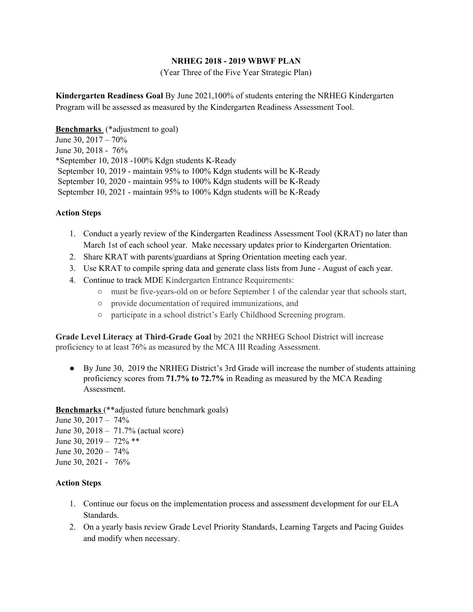## **NRHEG 2018 - 2019 WBWF PLAN**

(Year Three of the Five Year Strategic Plan)

**Kindergarten Readiness Goal** By June 2021,100% of students entering the NRHEG Kindergarten Program will be assessed as measured by the Kindergarten Readiness Assessment Tool.

### **Benchmarks** (\*adjustment to goal)

June 30, 2017 – 70% June 30, 2018 - 76% \*September 10, 2018 -100% Kdgn students K-Ready September 10, 2019 - maintain 95% to 100% Kdgn students will be K-Ready September 10, 2020 - maintain 95% to 100% Kdgn students will be K-Ready September 10, 2021 - maintain 95% to 100% Kdgn students will be K-Ready

## **Action Steps**

- 1. Conduct a yearly review of the Kindergarten Readiness Assessment Tool (KRAT) no later than March 1st of each school year. Make necessary updates prior to Kindergarten Orientation.
- 2. Share KRAT with parents/guardians at Spring Orientation meeting each year.
- 3. Use KRAT to compile spring data and generate class lists from June August of each year.
- 4. Continue to track MDE Kindergarten Entrance Requirements:
	- must be five-years-old on or before September 1 of the calendar year that schools start,
	- provide documentation of required immunizations, and
	- participate in a school district's Early Childhood Screening program.

**Grade Level Literacy at Third-Grade Goal** by 2021 the NRHEG School District will increase proficiency to at least 76% as measured by the MCA III Reading Assessment.

● By June 30, 2019 the NRHEG District's 3rd Grade will increase the number of students attaining proficiency scores from **71.7% to 72.7%** in Reading as measured by the MCA Reading Assessment.

### **Benchmarks** (\*\*adjusted future benchmark goals)

June 30, 2017 – 74% June 30, 2018 – 71.7% (actual score) June 30, 2019 – 72% \*\* June 30, 2020 – 74% June 30, 2021 - 76%

# **Action Steps**

- 1. Continue our focus on the implementation process and assessment development for our ELA Standards.
- 2. On a yearly basis review Grade Level Priority Standards, Learning Targets and Pacing Guides and modify when necessary.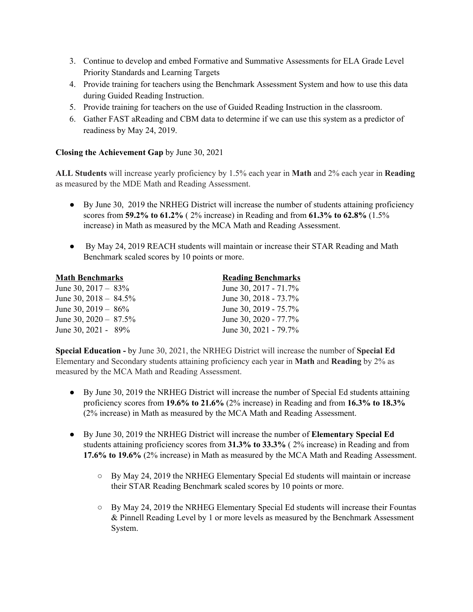- 3. Continue to develop and embed Formative and Summative Assessments for ELA Grade Level Priority Standards and Learning Targets
- 4. Provide training for teachers using the Benchmark Assessment System and how to use this data during Guided Reading Instruction.
- 5. Provide training for teachers on the use of Guided Reading Instruction in the classroom.
- 6. Gather FAST aReading and CBM data to determine if we can use this system as a predictor of readiness by May 24, 2019.

# **Closing the Achievement Gap** by June 30, 2021

**ALL Students** will increase yearly proficiency by 1.5% each year in **Math** and 2% each year in **Reading** as measured by the MDE Math and Reading Assessment.

- By June 30, 2019 the NRHEG District will increase the number of students attaining proficiency scores from **59.2% to 61.2%** ( 2% increase) in Reading and from **61.3% to 62.8%** (1.5% increase) in Math as measured by the MCA Math and Reading Assessment.
- By May 24, 2019 REACH students will maintain or increase their STAR Reading and Math Benchmark scaled scores by 10 points or more.

| <b>Math Benchmarks</b>   | <b>Reading Benchmarks</b> |
|--------------------------|---------------------------|
| June 30, $2017 - 83\%$   | June 30, 2017 - 71.7%     |
| June 30, $2018 - 84.5\%$ | June 30, 2018 - 73.7%     |
| June 30, $2019 - 86\%$   | June 30, 2019 - 75.7%     |
| June 30, $2020 - 87.5\%$ | June 30, 2020 - 77.7%     |
| June 30, 2021 - $89\%$   | June 30, 2021 - 79.7%     |

**Special Education -** by June 30, 2021, the NRHEG District will increase the number of **Special Ed** Elementary and Secondary students attaining proficiency each year in **Math** and **Reading** by 2% as measured by the MCA Math and Reading Assessment.

- By June 30, 2019 the NRHEG District will increase the number of Special Ed students attaining proficiency scores from **19.6% to 21.6%** (2% increase) in Reading and from **16.3% to 18.3%** (2% increase) in Math as measured by the MCA Math and Reading Assessment.
- By June 30, 2019 the NRHEG District will increase the number of **Elementary Special Ed** students attaining proficiency scores from **31.3% to 33.3%** ( 2% increase) in Reading and from **17.6% to 19.6%** (2% increase) in Math as measured by the MCA Math and Reading Assessment.
	- By May 24, 2019 the NRHEG Elementary Special Ed students will maintain or increase their STAR Reading Benchmark scaled scores by 10 points or more.
	- $\circ$  By May 24, 2019 the NRHEG Elementary Special Ed students will increase their Fountas & Pinnell Reading Level by 1 or more levels as measured by the Benchmark Assessment System.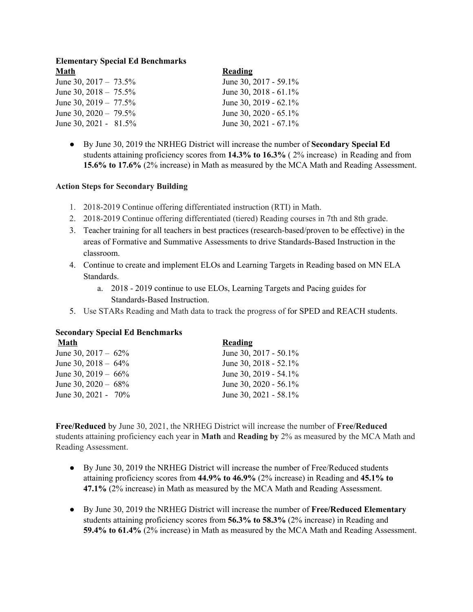## **Elementary Special Ed Benchmarks Math Reading**

| маш                      | reading                  |
|--------------------------|--------------------------|
| June 30, $2017 - 73.5\%$ | June 30, 2017 - 59.1%    |
| June 30, $2018 - 75.5\%$ | June 30, 2018 - $61.1\%$ |
| June 30, $2019 - 77.5\%$ | June 30, 2019 - $62.1\%$ |
| June 30, $2020 - 79.5\%$ | June 30, 2020 - $65.1\%$ |
| June 30, 2021 - $81.5\%$ | June 30, 2021 - $67.1\%$ |

● By June 30, 2019 the NRHEG District will increase the number of **Secondary Special Ed** students attaining proficiency scores from **14.3% to 16.3%** ( 2% increase) in Reading and from **15.6% to 17.6%** (2% increase) in Math as measured by the MCA Math and Reading Assessment.

## **Action Steps for Secondary Building**

- 1. 2018-2019 Continue offering differentiated instruction (RTI) in Math.
- 2. 2018-2019 Continue offering differentiated (tiered) Reading courses in 7th and 8th grade.
- 3. Teacher training for all teachers in best practices (research-based/proven to be effective) in the areas of Formative and Summative Assessments to drive Standards-Based Instruction in the classroom.
- 4. Continue to create and implement ELOs and Learning Targets in Reading based on MN ELA Standards.
	- a. 2018 2019 continue to use ELOs, Learning Targets and Pacing guides for Standards-Based Instruction.
- 5. Use STARs Reading and Math data to track the progress of for SPED and REACH students.

# **Secondary Special Ed Benchmarks**

| <b>Reading</b>           |
|--------------------------|
| June 30, 2017 - 50.1%    |
| June 30, 2018 - 52.1%    |
| June 30, 2019 - 54.1%    |
| June 30, 2020 - 56.1%    |
| June 30, $2021 - 58.1\%$ |
|                          |

**Free/Reduced** by June 30, 2021, the NRHEG District will increase the number of **Free/Reduced** students attaining proficiency each year in **Math** and **Reading by** 2% as measured by the MCA Math and Reading Assessment.

- By June 30, 2019 the NRHEG District will increase the number of Free/Reduced students attaining proficiency scores from **44.9% to 46.9%** (2% increase) in Reading and **45.1% to 47.1%** (2% increase) in Math as measured by the MCA Math and Reading Assessment.
- By June 30, 2019 the NRHEG District will increase the number of **Free/Reduced Elementary** students attaining proficiency scores from **56.3% to 58.3%** (2% increase) in Reading and **59.4% to 61.4%** (2% increase) in Math as measured by the MCA Math and Reading Assessment.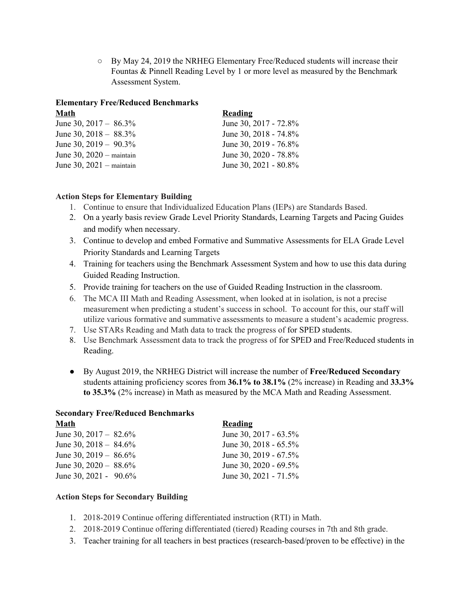$\circ$  By May 24, 2019 the NRHEG Elementary Free/Reduced students will increase their Fountas & Pinnell Reading Level by 1 or more level as measured by the Benchmark Assessment System.

# **Elementary Free/Reduced Benchmarks**

| Math                       | Reading                  |
|----------------------------|--------------------------|
| June 30, $2017 - 86.3\%$   | June 30, 2017 - 72.8%    |
| June 30, $2018 - 88.3\%$   | June 30, 2018 - 74.8%    |
| June 30, $2019 - 90.3\%$   | June 30, 2019 - 76.8%    |
| June 30, $2020$ – maintain | June 30, 2020 - 78.8%    |
| June 30, $2021$ – maintain | June 30, $2021 - 80.8\%$ |

# **Action Steps for Elementary Building**

- 1. Continue to ensure that Individualized Education Plans (IEPs) are Standards Based.
- 2. On a yearly basis review Grade Level Priority Standards, Learning Targets and Pacing Guides and modify when necessary.
- 3. Continue to develop and embed Formative and Summative Assessments for ELA Grade Level Priority Standards and Learning Targets
- 4. Training for teachers using the Benchmark Assessment System and how to use this data during Guided Reading Instruction.
- 5. Provide training for teachers on the use of Guided Reading Instruction in the classroom.
- 6. The MCA III Math and Reading Assessment, when looked at in isolation, is not a precise measurement when predicting a student's success in school. To account for this, our staff will utilize various formative and summative assessments to measure a student's academic progress.
- 7. Use STARs Reading and Math data to track the progress of for SPED students.
- 8. Use Benchmark Assessment data to track the progress of for SPED and Free/Reduced students in Reading.
- By August 2019, the NRHEG District will increase the number of **Free/Reduced Secondary** students attaining proficiency scores from **36.1% to 38.1%** (2% increase) in Reading and **33.3% to 35.3%** (2% increase) in Math as measured by the MCA Math and Reading Assessment.

# **Secondary Free/Reduced Benchmarks**

| Math                     | <b>Reading</b>           |
|--------------------------|--------------------------|
| June 30, $2017 - 82.6\%$ | June 30, 2017 - $63.5\%$ |
| June 30, $2018 - 84.6\%$ | June 30, $2018 - 65.5\%$ |
| June 30, $2019 - 86.6\%$ | June 30, 2019 - $67.5\%$ |
| June 30, $2020 - 88.6\%$ | June 30, 2020 - $69.5\%$ |
| June 30, 2021 - $90.6\%$ | June 30, 2021 - 71.5%    |
|                          |                          |

# **Action Steps for Secondary Building**

- 1. 2018-2019 Continue offering differentiated instruction (RTI) in Math.
- 2. 2018-2019 Continue offering differentiated (tiered) Reading courses in 7th and 8th grade.
- 3. Teacher training for all teachers in best practices (research-based/proven to be effective) in the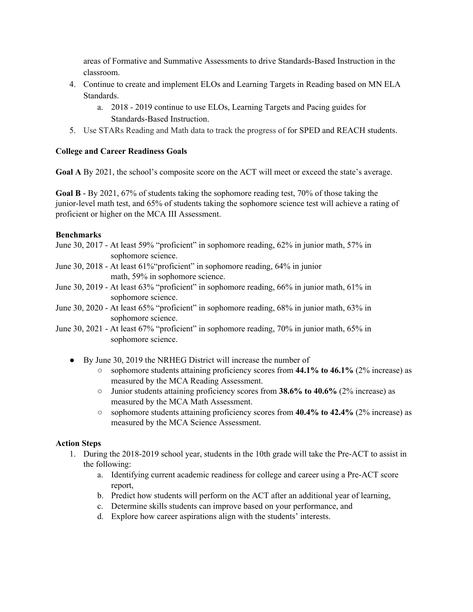areas of Formative and Summative Assessments to drive Standards-Based Instruction in the classroom.

- 4. Continue to create and implement ELOs and Learning Targets in Reading based on MN ELA Standards.
	- a. 2018 2019 continue to use ELOs, Learning Targets and Pacing guides for Standards-Based Instruction.
- 5. Use STARs Reading and Math data to track the progress of for SPED and REACH students.

# **College and Career Readiness Goals**

**Goal A** By 2021, the school's composite score on the ACT will meet or exceed the state's average.

**Goal B** - By 2021, 67% of students taking the sophomore reading test, 70% of those taking the junior-level math test, and 65% of students taking the sophomore science test will achieve a rating of proficient or higher on the MCA III Assessment.

# **Benchmarks**

- June 30, 2017 At least 59% "proficient" in sophomore reading, 62% in junior math, 57% in sophomore science.
- June 30, 2018 At least 61%"proficient" in sophomore reading, 64% in junior math, 59% in sophomore science.
- June 30, 2019 At least 63% "proficient" in sophomore reading, 66% in junior math, 61% in sophomore science.
- June 30, 2020 At least 65% "proficient" in sophomore reading, 68% in junior math, 63% in sophomore science.
- June 30, 2021 At least 67% "proficient" in sophomore reading, 70% in junior math, 65% in sophomore science.
	- By June 30, 2019 the NRHEG District will increase the number of
		- sophomore students attaining proficiency scores from **44.1% to 46.1%** (2% increase) as measured by the MCA Reading Assessment.
		- Junior students attaining proficiency scores from **38.6% to 40.6%** (2% increase) as measured by the MCA Math Assessment.
		- sophomore students attaining proficiency scores from **40.4% to 42.4%** (2% increase) as measured by the MCA Science Assessment.

# **Action Steps**

- 1. During the 2018-2019 school year, students in the 10th grade will take the Pre-ACT to assist in the following:
	- a. Identifying current academic readiness for college and career using a Pre-ACT score report,
	- b. Predict how students will perform on the ACT after an additional year of learning,
	- c. Determine skills students can improve based on your performance, and
	- d. Explore how career aspirations align with the students' interests.